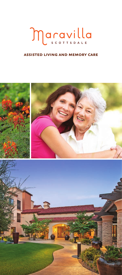# Maravilla

#### **assisted living and memory care**

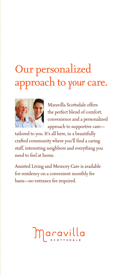# Our personalized approach to *your* care.



Maravilla Scottsdale offers the perfect blend of comfort, convenience and a personalized approach to supportive care—

tailored to you. It's all here, in a beautifully crafted community where you'll find a caring staff, interesting neighbors and everything you need to feel at home.

Assisted Living and Memory Care is available for residency on a convenient monthly fee basis—no entrance fee required.

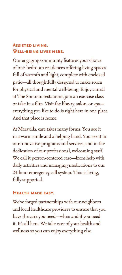## **Assisted living. Well-being lives here.**

Our engaging community features your choice of one-bedroom residences offering living spaces full of warmth and light, complete with enclosed patio—all thoughtfully designed to make room for physical and mental well-being. Enjoy a meal at The Sonoran restaurant, join an exercise class or take in a film. Visit the library, salon, or spa everything you like to do is right here in one place. And that place is home.

At Maravilla, care takes many forms. You see it in a warm smile and a helping hand. You see it in our innovative programs and services, and in the dedication of our professional, welcoming staff. We call it person-centered care—from help with daily activities and managing medications to our 24-hour emergency call system. This is living, fully supported.

# **Health made easy.**

We've forged partnerships with our neighbors and local healthcare providers to ensure that you have the care you need—when and if you need it. It's all here. We take care of your health and wellness so you can enjoy everything else.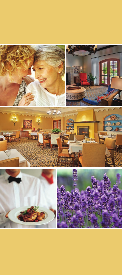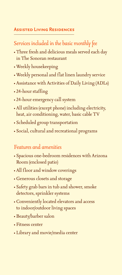## **Assisted Living Residences**

# *Services included in the basic monthly fee*

- Three fresh and delicious meals served each day in The Sonoran restaurant
- Weekly housekeeping
- Weekly personal and flat linen laundry service
- Assistance with Activities of Daily Living (ADLs)
- 24-hour staffing
- 24-hour emergency call system
- All utilities (except phone) including electricity, heat, air conditioning, water, basic cable TV
- Scheduled group transportation
- Social, cultural and recreational programs

# *Features and amenities*

- Spacious one-bedroom residences with Arizona Room (enclosed patio)
- All floor and window coverings
- Generous closets and storage
- Safety grab bars in tub and shower, smoke detectors, sprinkler systems
- Conveniently located elevators and access to indoor/outdoor living spaces
- Beauty/barber salon
- Fitness center
- Library and movie/media center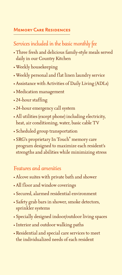# **Memory Care Residences**

# *Services included in the basic monthly fee*

- Three fresh and delicious family-style meals served daily in our Country Kitchen
- Weekly housekeeping
- Weekly personal and flat linen laundry service
- Assistance with Activities of Daily Living (ADLs)
- Medication management
- 24-hour staffing
- 24-hour emergency call system
- All utilities (except phone) including electricity, heat, air conditioning, water, basic cable TV
- Scheduled group transportation
- SRG's proprietary In Touch® memory care program designed to maximize each resident's strengths and abilities while minimizing stress

# *Features and amenities*

- Alcove suites with private bath and shower
- All floor and window coverings
- Secured, alarmed residential environment
- Safety grab bars in shower, smoke detectors, sprinkler systems
- Specially designed indoor/outdoor living spaces
- Interior and outdoor walking paths
- Residential and special care services to meet the individualized needs of each resident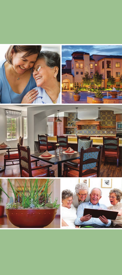





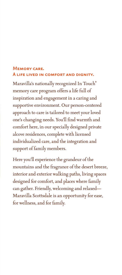#### **Memory care. A life lived in comfort and dignity.**

Maravilla's nationally recognized In Touch® memory care program offers a life full of inspiration and engagement in a caring and supportive environment. Our person-centered approach to care is tailored to meet your loved one's changing needs. You'll find warmth and comfort here, in our specially designed private alcove residences, complete with licensed individualized care, and the integration and support of family members.

Here you'll experience the grandeur of the mountains and the fragrance of the desert breeze, interior and exterior walking paths, living spaces designed for comfort, and places where family can gather. Friendly, welcoming and relaxed— Maravilla Scottsdale is an opportunity for ease, for wellness, and for family.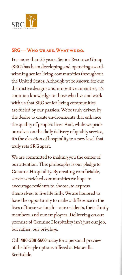

#### **SRG — Who we are. What we do.**

For more than 25 years, Senior Resource Group (SRG) has been developing and operating awardwinning senior living communities throughout the United States. Although we're known for our distinctive designs and innovative amenities, it's common knowledge to those who live and work with us that SRG senior living communities are fueled by our passion. We're truly driven by the desire to create environments that enhance the quality of people's lives. And, while we pride ourselves on the daily delivery of quality service, it's the elevation of hospitality to a new level that truly sets SRG apart.

We are committed to making you the center of our attention. This philosophy is our pledge to Genuine Hospitality. By creating comfortable, service-enriched communities we hope to encourage residents to choose, to express themselves, to live life fully. We are honored to have the opportunity to make a difference in the lives of those we touch—our residents, their family members, and our employees. Delivering on our promise of Genuine Hospitality isn't just our job, but rather, our privilege.

Call **480-538-5600** today for a personal preview of the lifestyle options offered at Maravilla Scottsdale.